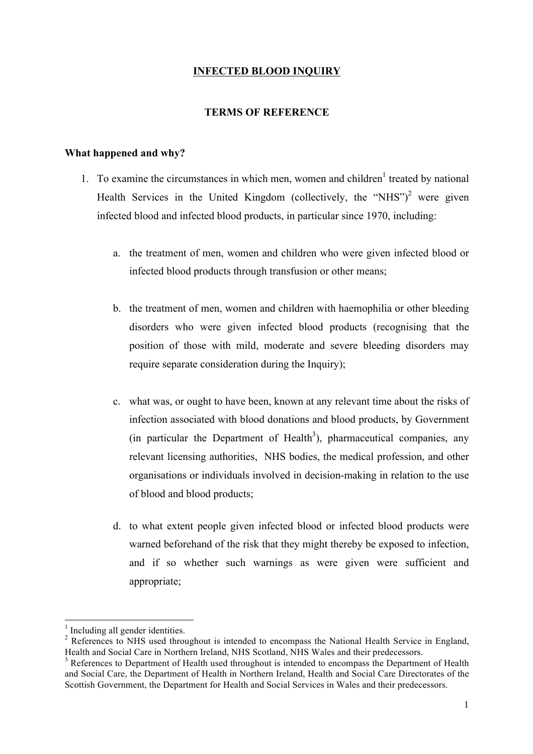# **INFECTED BLOOD INQUIRY**

## **TERMS OF REFERENCE**

#### **What happened and why?**

- 1. To examine the circumstances in which men, women and children<sup>1</sup> treated by national Health Services in the United Kingdom (collectively, the "NHS")<sup>2</sup> were given infected blood and infected blood products, in particular since 1970, including:
	- a. the treatment of men, women and children who were given infected blood or infected blood products through transfusion or other means;
	- b. the treatment of men, women and children with haemophilia or other bleeding disorders who were given infected blood products (recognising that the position of those with mild, moderate and severe bleeding disorders may require separate consideration during the Inquiry);
	- c. what was, or ought to have been, known at any relevant time about the risks of infection associated with blood donations and blood products, by Government (in particular the Department of Health<sup>3</sup>), pharmaceutical companies, any relevant licensing authorities, NHS bodies, the medical profession, and other organisations or individuals involved in decision-making in relation to the use of blood and blood products;
	- d. to what extent people given infected blood or infected blood products were warned beforehand of the risk that they might thereby be exposed to infection, and if so whether such warnings as were given were sufficient and appropriate;

 $\frac{1}{2}$  Including all gender identities.<br><sup>2</sup> References to NHS used throughout is intended to encompass the National Health Service in England, Health and Social Care in Northern Ireland, NHS Scotland, NHS Wales and their predecessors.

<sup>3</sup> References to Department of Health used throughout is intended to encompass the Department of Health and Social Care, the Department of Health in Northern Ireland, Health and Social Care Directorates of the Scottish Government, the Department for Health and Social Services in Wales and their predecessors.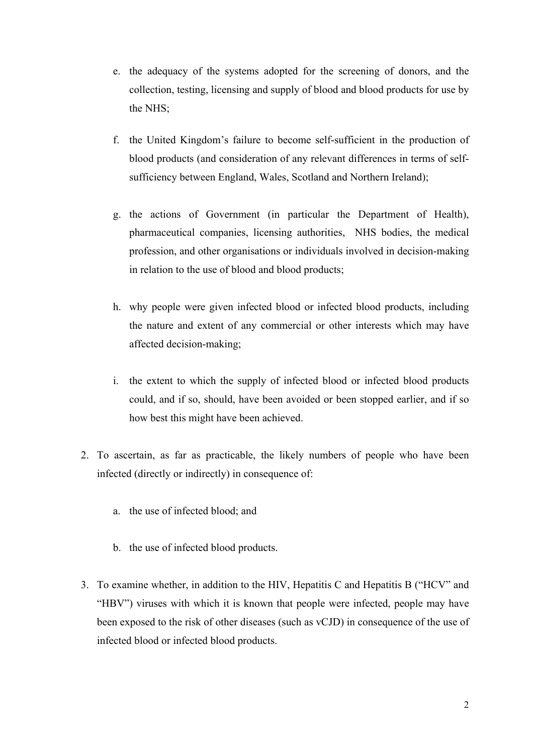- e. the adequacy of the systems adopted for the screening of donors, and the collection, testing, licensing and supply of blood and blood products for use by the NHS;
- f. the United Kingdom's failure to become self-sufficient in the production of blood products (and consideration of any relevant differences in terms of selfsufficiency between England, Wales, Scotland and Northern Ireland);
- g. the actions of Government (in particular the Department of Health), pharmaceutical companies, licensing authorities, NHS bodies, the medical profession, and other organisations or individuals involved in decision-making in relation to the use of blood and blood products;
- h. why people were given infected blood or infected blood products, including the nature and extent of any commercial or other interests which may have affected decision-making;
- i. the extent to which the supply of infected blood or infected blood products could, and if so, should, have been avoided or been stopped earlier, and if so how best this might have been achieved.
- 2. To ascertain, as far as practicable, the likely numbers of people who have been infected (directly or indirectly) in consequence of:
	- a. the use of infected blood; and
	- b. the use of infected blood products.
- 3. To examine whether, in addition to the HIV, Hepatitis C and Hepatitis B ("HCV" and "HBV") viruses with which it is known that people were infected, people may have been exposed to the risk of other diseases (such as vCJD) in consequence of the use of infected blood or infected blood products.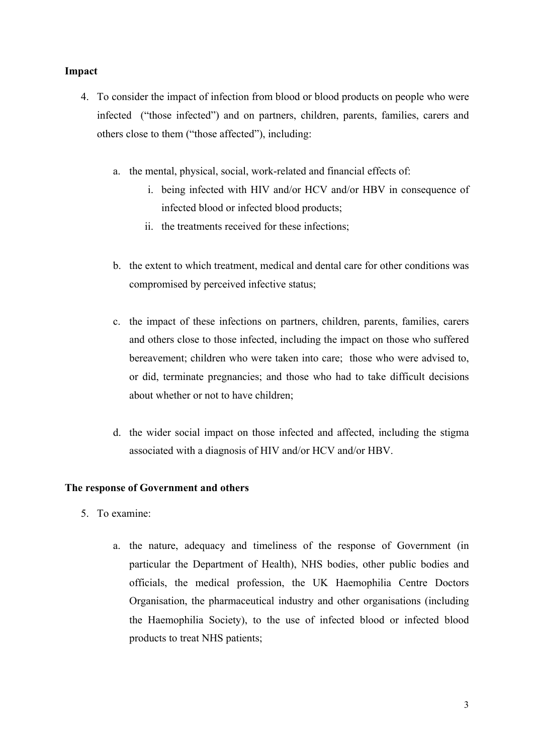# **Impact**

- 4. To consider the impact of infection from blood or blood products on people who were infected ("those infected") and on partners, children, parents, families, carers and others close to them ("those affected"), including:
	- a. the mental, physical, social, work-related and financial effects of:
		- i. being infected with HIV and/or HCV and/or HBV in consequence of infected blood or infected blood products;
		- ii. the treatments received for these infections;
	- b. the extent to which treatment, medical and dental care for other conditions was compromised by perceived infective status;
	- c. the impact of these infections on partners, children, parents, families, carers and others close to those infected, including the impact on those who suffered bereavement; children who were taken into care; those who were advised to, or did, terminate pregnancies; and those who had to take difficult decisions about whether or not to have children;
	- d. the wider social impact on those infected and affected, including the stigma associated with a diagnosis of HIV and/or HCV and/or HBV.

# **The response of Government and others**

- 5. To examine:
	- a. the nature, adequacy and timeliness of the response of Government (in particular the Department of Health), NHS bodies, other public bodies and officials, the medical profession, the UK Haemophilia Centre Doctors Organisation, the pharmaceutical industry and other organisations (including the Haemophilia Society), to the use of infected blood or infected blood products to treat NHS patients;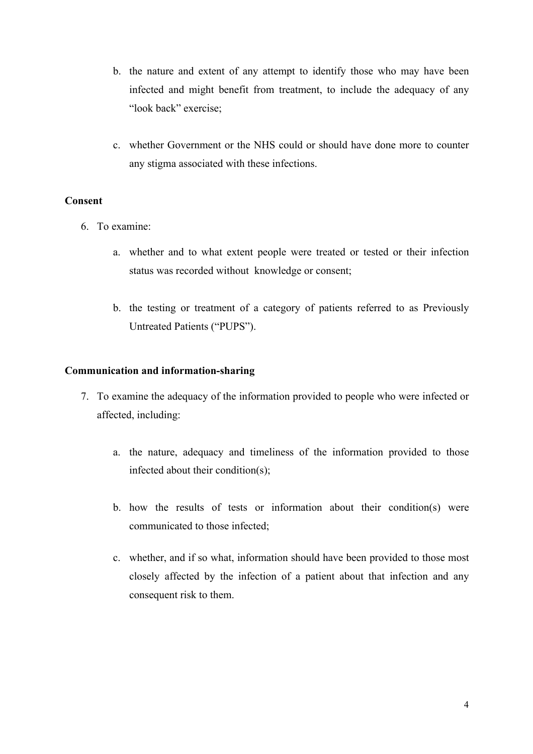- b. the nature and extent of any attempt to identify those who may have been infected and might benefit from treatment, to include the adequacy of any "look back" exercise;
- c. whether Government or the NHS could or should have done more to counter any stigma associated with these infections.

## **Consent**

- 6. To examine:
	- a. whether and to what extent people were treated or tested or their infection status was recorded without knowledge or consent;
	- b. the testing or treatment of a category of patients referred to as Previously Untreated Patients ("PUPS").

## **Communication and information-sharing**

- 7. To examine the adequacy of the information provided to people who were infected or affected, including:
	- a. the nature, adequacy and timeliness of the information provided to those infected about their condition(s);
	- b. how the results of tests or information about their condition(s) were communicated to those infected;
	- c. whether, and if so what, information should have been provided to those most closely affected by the infection of a patient about that infection and any consequent risk to them.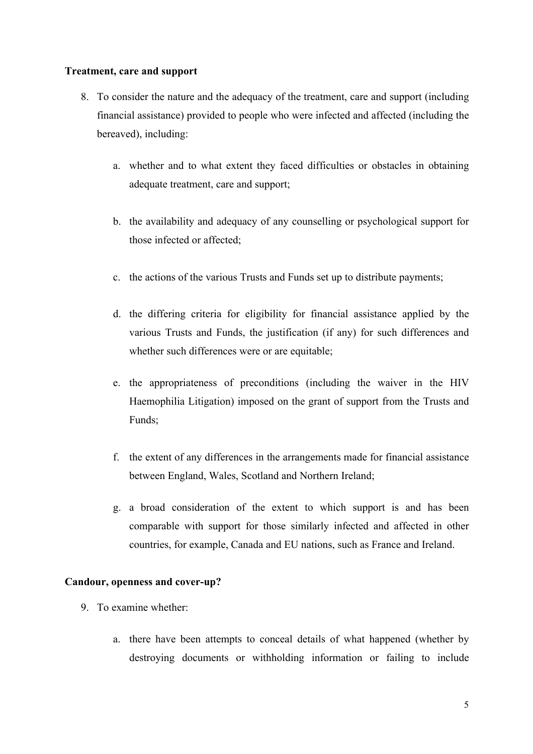## **Treatment, care and support**

- 8. To consider the nature and the adequacy of the treatment, care and support (including financial assistance) provided to people who were infected and affected (including the bereaved), including:
	- a. whether and to what extent they faced difficulties or obstacles in obtaining adequate treatment, care and support;
	- b. the availability and adequacy of any counselling or psychological support for those infected or affected;
	- c. the actions of the various Trusts and Funds set up to distribute payments;
	- d. the differing criteria for eligibility for financial assistance applied by the various Trusts and Funds, the justification (if any) for such differences and whether such differences were or are equitable;
	- e. the appropriateness of preconditions (including the waiver in the HIV Haemophilia Litigation) imposed on the grant of support from the Trusts and Funds;
	- f. the extent of any differences in the arrangements made for financial assistance between England, Wales, Scotland and Northern Ireland;
	- g. a broad consideration of the extent to which support is and has been comparable with support for those similarly infected and affected in other countries, for example, Canada and EU nations, such as France and Ireland.

#### **Candour, openness and cover-up?**

- 9. To examine whether:
	- a. there have been attempts to conceal details of what happened (whether by destroying documents or withholding information or failing to include